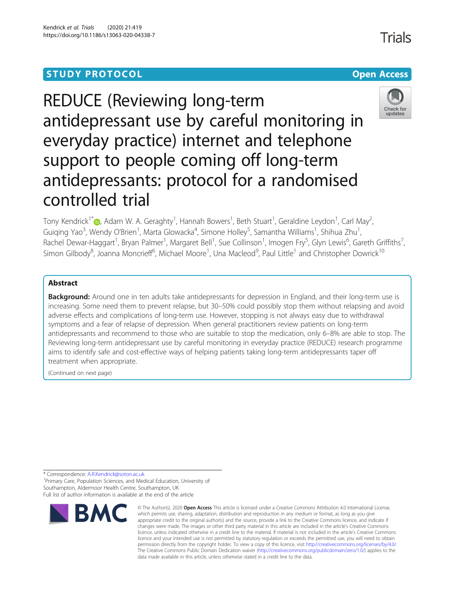# **STUDY PROTOCOL CONSUMING THE CONSUMING OPEN ACCESS**

# REDUCE (Reviewing long-term antidepressant use by careful monitoring in everyday practice) internet and telephone support to people coming off long-term antidepressants: protocol for a randomised controlled trial



Tony Kendrick $^{\text{1*}}$  (D, Adam W. A. Geraghty $^{\text{1}}$ , Hannah Bowers $^{\text{1}}$ , Beth Stuart $^{\text{1}}$ , Geraldine Leydon $^{\text{1}}$ , Carl May $^{\text{2}}$ , Guiqing Yao<sup>3</sup>, Wendy O'Brien<sup>1</sup>, Marta Glowacka<sup>4</sup>, Simone Holley<sup>5</sup>, Samantha Williams<sup>1</sup>, Shihua Zhu<sup>1</sup> , Rachel Dewar-Haggart<sup>1</sup>, Bryan Palmer<sup>1</sup>, Margaret Bell<sup>1</sup>, Sue Collinson<sup>1</sup>, Imogen Fry<sup>5</sup>, Glyn Lewis<sup>6</sup>, Gareth Griffiths<sup>7</sup> , Simon Gilbody<sup>8</sup>, Joanna Moncrieff<sup>6</sup>, Michael Moore<sup>1</sup>, Una Macleod<sup>9</sup>, Paul Little<sup>1</sup> and Christopher Dowrick<sup>10</sup>

# Abstract

Background: Around one in ten adults take antidepressants for depression in England, and their long-term use is increasing. Some need them to prevent relapse, but 30–50% could possibly stop them without relapsing and avoid adverse effects and complications of long-term use. However, stopping is not always easy due to withdrawal symptoms and a fear of relapse of depression. When general practitioners review patients on long-term antidepressants and recommend to those who are suitable to stop the medication, only 6–8% are able to stop. The Reviewing long-term antidepressant use by careful monitoring in everyday practice (REDUCE) research programme aims to identify safe and cost-effective ways of helping patients taking long-term antidepressants taper off treatment when appropriate.

(Continued on next page)

\* Correspondence: [A.R.Kendrick@soton.ac.uk](mailto:A.R.Kendrick@soton.ac.uk) <sup>1</sup>

<sup>1</sup> Primary Care, Population Sciences, and Medical Education, University of Southampton, Aldermoor Health Centre, Southampton, UK Full list of author information is available at the end of the article



<sup>©</sup> The Author(s), 2020 **Open Access** This article is licensed under a Creative Commons Attribution 4.0 International License, which permits use, sharing, adaptation, distribution and reproduction in any medium or format, as long as you give appropriate credit to the original author(s) and the source, provide a link to the Creative Commons licence, and indicate if changes were made. The images or other third party material in this article are included in the article's Creative Commons licence, unless indicated otherwise in a credit line to the material. If material is not included in the article's Creative Commons licence and your intended use is not permitted by statutory regulation or exceeds the permitted use, you will need to obtain permission directly from the copyright holder. To view a copy of this licence, visit [http://creativecommons.org/licenses/by/4.0/.](http://creativecommons.org/licenses/by/4.0/) The Creative Commons Public Domain Dedication waiver [\(http://creativecommons.org/publicdomain/zero/1.0/](http://creativecommons.org/publicdomain/zero/1.0/)) applies to the data made available in this article, unless otherwise stated in a credit line to the data.

Trials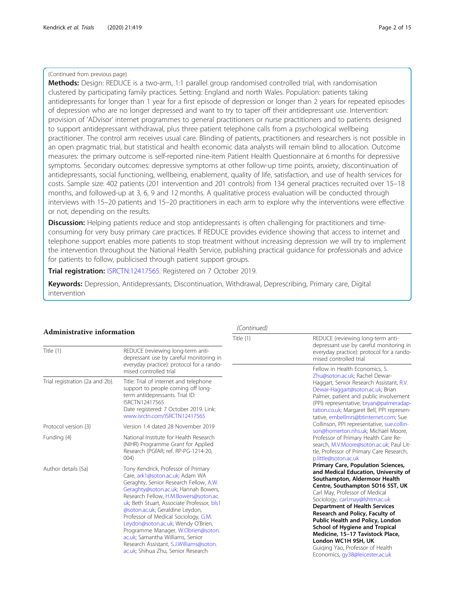# (Continued from previous page)

Methods: Design: REDUCE is a two-arm, 1:1 parallel group randomised controlled trial, with randomisation clustered by participating family practices. Setting: England and north Wales. Population: patients taking antidepressants for longer than 1 year for a first episode of depression or longer than 2 years for repeated episodes of depression who are no longer depressed and want to try to taper off their antidepressant use. Intervention: provision of 'ADvisor' internet programmes to general practitioners or nurse practitioners and to patients designed to support antidepressant withdrawal, plus three patient telephone calls from a psychological wellbeing practitioner. The control arm receives usual care. Blinding of patients, practitioners and researchers is not possible in an open pragmatic trial, but statistical and health economic data analysts will remain blind to allocation. Outcome measures: the primary outcome is self-reported nine-item Patient Health Questionnaire at 6 months for depressive symptoms. Secondary outcomes: depressive symptoms at other follow-up time points, anxiety, discontinuation of antidepressants, social functioning, wellbeing, enablement, quality of life, satisfaction, and use of health services for costs. Sample size: 402 patients (201 intervention and 201 controls) from 134 general practices recruited over 15–18 months, and followed-up at 3, 6, 9 and 12 months. A qualitative process evaluation will be conducted through interviews with 15–20 patients and 15–20 practitioners in each arm to explore why the interventions were effective or not, depending on the results.

**Discussion:** Helping patients reduce and stop antidepressants is often challenging for practitioners and timeconsuming for very busy primary care practices. If REDUCE provides evidence showing that access to internet and telephone support enables more patients to stop treatment without increasing depression we will try to implement the intervention throughout the National Health Service, publishing practical guidance for professionals and advice for patients to follow, publicised through patient support groups.

Trial registration: [ISRCTN:12417565.](http://www.isrctn.com/ISRCTN12417565) Registered on 7 October 2019.

Keywords: Depression, Antidepressants, Discontinuation, Withdrawal, Deprescribing, Primary care, Digital intervention

| <b>Administrative information</b> |                                                                                                                                                                                                                                                                                                                                                                                                                                                                                                                             | (Continued) |                                                                                                                                                                                                                                                                                                                                                                                                                                                                                                                                                                                                                                                                                                                                                                                                                                                                                                                                                                                                                  |  |
|-----------------------------------|-----------------------------------------------------------------------------------------------------------------------------------------------------------------------------------------------------------------------------------------------------------------------------------------------------------------------------------------------------------------------------------------------------------------------------------------------------------------------------------------------------------------------------|-------------|------------------------------------------------------------------------------------------------------------------------------------------------------------------------------------------------------------------------------------------------------------------------------------------------------------------------------------------------------------------------------------------------------------------------------------------------------------------------------------------------------------------------------------------------------------------------------------------------------------------------------------------------------------------------------------------------------------------------------------------------------------------------------------------------------------------------------------------------------------------------------------------------------------------------------------------------------------------------------------------------------------------|--|
|                                   |                                                                                                                                                                                                                                                                                                                                                                                                                                                                                                                             | Title {1}   | REDUCE (reviewing long-term anti-                                                                                                                                                                                                                                                                                                                                                                                                                                                                                                                                                                                                                                                                                                                                                                                                                                                                                                                                                                                |  |
| Title {1}                         | REDUCE (reviewing long-term anti-<br>depressant use by careful monitoring in                                                                                                                                                                                                                                                                                                                                                                                                                                                |             | depressant use by careful monitoring in<br>everyday practice): protocol for a rando-<br>mised controlled trial                                                                                                                                                                                                                                                                                                                                                                                                                                                                                                                                                                                                                                                                                                                                                                                                                                                                                                   |  |
|                                   | everyday practice): protocol for a rando-<br>mised controlled trial                                                                                                                                                                                                                                                                                                                                                                                                                                                         |             | Fellow in Health Economics, S.<br>Zhu@soton.ac.uk; Rachel Dewar-                                                                                                                                                                                                                                                                                                                                                                                                                                                                                                                                                                                                                                                                                                                                                                                                                                                                                                                                                 |  |
| Trial registration {2a and 2b}.   | Title: Trial of internet and telephone<br>support to people coming off long-<br>term antidepressants. Trial ID:<br>ISRCTN12417565<br>Date registered: 7 October 2019. Link:<br>www.isrctn.com/ISRCTN12417565                                                                                                                                                                                                                                                                                                                |             | Haggart, Senior Research Assistant, R.V.<br>Dewar-Haggart@soton.ac.uk; Brian<br>Palmer, patient and public involvement<br>(PPI) representative, bryan@palmeradap-<br>tation.co.uk; Margaret Bell, PPI represen-<br>tative, embellmrs@btinternet.com; Sue<br>Collinson, PPI representative, sue.collin-<br>son@homerton.nhs.uk; Michael Moore,<br>Professor of Primary Health Care Re-<br>search, M.V.Moore@soton.ac.uk; Paul Lit-<br>tle, Professor of Primary Care Research,<br>p.little@soton.ac.uk<br>Primary Care, Population Sciences,<br>and Medical Education, University of<br>Southampton, Aldermoor Health<br>Centre, Southampton SO16 5ST, UK<br>Carl May, Professor of Medical<br>Sociology, carl.may@lshtm.ac.uk<br><b>Department of Health Services</b><br>Research and Policy, Faculty of<br>Public Health and Policy, London<br>School of Hygiene and Tropical<br>Medicine, 15-17 Tavistock Place,<br>London WC1H 9SH, UK<br>Guiging Yao, Professor of Health<br>Economics, qy38@leicester.ac.uk |  |
| Protocol version {3}              | Version 1.4 dated 28 November 2019                                                                                                                                                                                                                                                                                                                                                                                                                                                                                          |             |                                                                                                                                                                                                                                                                                                                                                                                                                                                                                                                                                                                                                                                                                                                                                                                                                                                                                                                                                                                                                  |  |
| Funding {4}                       | National Institute for Health Research<br>(NIHR) Programme Grant for Applied<br>Research (PGfAR; ref. RP-PG-1214-20,<br>004)                                                                                                                                                                                                                                                                                                                                                                                                |             |                                                                                                                                                                                                                                                                                                                                                                                                                                                                                                                                                                                                                                                                                                                                                                                                                                                                                                                                                                                                                  |  |
| Author details {5a}               | Tony Kendrick, Professor of Primary<br>Care, ark1@soton.ac.uk; Adam WA<br>Geraghty, Senior Research Fellow, A.W.<br>Geraghty@soton.ac.uk; Hannah Bowers,<br>Research Fellow, H.M.Bowers@soton.ac.<br>uk; Beth Stuart, Associate Professor, bls1<br>@soton.ac.uk; Geraldine Leydon,<br>Professor of Medical Sociology, G.M.<br>Leydon@soton.ac.uk; Wendy O'Brien,<br>Programme Manager, W.Obrien@soton.<br>ac.uk; Samantha Williams, Senior<br>Research Assistant, S.J.Williams@soton.<br>ac.uk; Shihua Zhu, Senior Research |             |                                                                                                                                                                                                                                                                                                                                                                                                                                                                                                                                                                                                                                                                                                                                                                                                                                                                                                                                                                                                                  |  |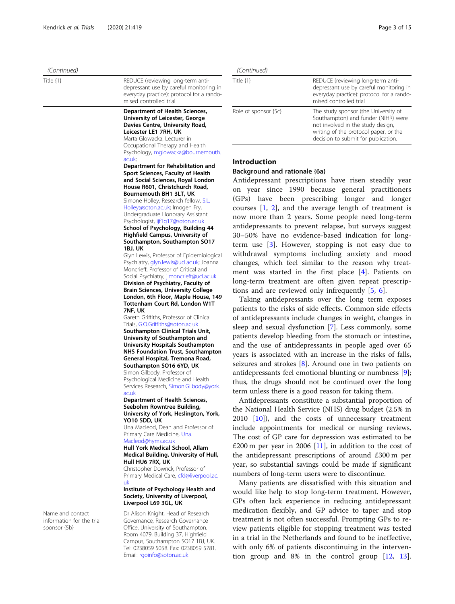| (Continued) |
|-------------|
|             |
|             |

Title {1} REDUCE (reviewing long-term antidepressant use by careful monitoring in everyday practice): protocol for a randomised controlled trial

> Department of Health Sciences, University of Leicester, George Davies Centre, University Road, Leicester LE1 7RH, UK Marta Glowacka, Lecturer in Occupational Therapy and Health Psychology, [mglowacka@bournemouth.](mailto:mglowacka@bournemouth.ac.uk) [ac.uk;](mailto:mglowacka@bournemouth.ac.uk)

Department for Rehabilitation and Sport Sciences, Faculty of Health and Social Sciences, Royal London House R601, Christchurch Road, Bournemouth BH1 3LT, UK Simone Holley, Research fellow, [S.L.](mailto:S.L.Holley@soton.ac.uk) [Holley@soton.ac.uk](mailto:S.L.Holley@soton.ac.uk); Imogen Fry, Undergraduate Honorary Assistant Psychologist, [ijf1g17@soton.ac.uk](mailto:ijf1g17@soton.ac.uk) School of Psychology, Building 44 Highfield Campus, University of Southampton, Southampton SO17

1BJ, UK Glyn Lewis, Professor of Epidemiological Psychiatry, [glyn.lewis@ucl.ac.uk;](mailto:glyn.lewis@ucl.ac.uk) Joanna

Moncrieff, Professor of Critical and Social Psychiatry, *[j.moncrieff@ucl.ac.uk](mailto:j.moncrieff@ucl.ac.uk)* Division of Psychiatry, Faculty of

Brain Sciences, University College London, 6th Floor, Maple House, 149 Tottenham Court Rd, London W1T 7NF, UK

Gareth Griffiths, Professor of Clinical Trials, [G.O.Griffiths@soton.ac.uk](mailto:G.O.Griffiths@soton.ac.uk) Southampton Clinical Trials Unit, University of Southampton and University Hospitals Southampton NHS Foundation Trust, Southampton General Hospital, Tremona Road, Southampton SO16 6YD, UK

Simon Gilbody, Professor of Psychological Medicine and Health Services Research, [Simon.Gilbody@york.](mailto:Simon.Gilbody@york.ac.uk) [ac.uk](mailto:Simon.Gilbody@york.ac.uk)

#### Department of Health Sciences, Seebohm Rowntree Building, University of York, Heslington, York, YO10 5DD, UK

Una Macleod, Dean and Professor of Primary Care Medicine, [Una.](mailto:Una.Macleod@hyms.ac.uk) [Macleod@hyms.ac.uk](mailto:Una.Macleod@hyms.ac.uk)

#### Hull York Medical School, Allam Medical Building, University of Hull, Hull HU6 7RX, UK

Christopher Dowrick, Professor of Primary Medical Care, [cfd@liverpool.ac.](mailto:cfd@liverpool.ac.uk) [uk](mailto:cfd@liverpool.ac.uk)

#### Institute of Psychology Health and Society, University of Liverpool, Liverpool L69 3GL, UK

Dr Alison Knight, Head of Research Governance, Research Governance Office, University of Southampton, Room 4079, Building 37, Highfield Campus, Southampton SO17 1BJ, UK. Tel: 0238059 5058. Fax: 0238059 5781. Email: [rgoinfo@soton.ac.uk](mailto:rgoinfo@soton.ac.uk)

(Continued)

| Title {1}            | REDUCE (reviewing long-term anti-<br>depressant use by careful monitoring in<br>everyday practice): protocol for a rando-<br>mised controlled trial                                              |
|----------------------|--------------------------------------------------------------------------------------------------------------------------------------------------------------------------------------------------|
| Role of sponsor {5c} | The study sponsor (the University of<br>Southampton) and funder (NIHR) were<br>not involved in the study design,<br>writing of the protocol paper, or the<br>decision to submit for publication. |
|                      |                                                                                                                                                                                                  |

#### Introduction

#### Background and rationale {6a}

Antidepressant prescriptions have risen steadily year on year since 1990 because general practitioners (GPs) have been prescribing longer and longer courses [[1,](#page-13-0) [2](#page-13-0)], and the average length of treatment is now more than 2 years. Some people need long-term antidepressants to prevent relapse, but surveys suggest 30–50% have no evidence-based indication for longterm use [[3\]](#page-13-0). However, stopping is not easy due to withdrawal symptoms including anxiety and mood changes, which feel similar to the reason why treatment was started in the first place [[4\]](#page-13-0). Patients on long-term treatment are often given repeat prescriptions and are reviewed only infrequently [\[5](#page-13-0), [6](#page-13-0)].

Taking antidepressants over the long term exposes patients to the risks of side effects. Common side effects of antidepressants include changes in weight, changes in sleep and sexual dysfunction [[7\]](#page-13-0). Less commonly, some patients develop bleeding from the stomach or intestine, and the use of antidepressants in people aged over 65 years is associated with an increase in the risks of falls, seizures and strokes [[8\]](#page-13-0). Around one in two patients on antidepressants feel emotional blunting or numbness [\[9](#page-13-0)]; thus, the drugs should not be continued over the long term unless there is a good reason for taking them.

Antidepressants constitute a substantial proportion of the National Health Service (NHS) drug budget (2.5% in 2010 [\[10](#page-13-0)]), and the costs of unnecessary treatment include appointments for medical or nursing reviews. The cost of GP care for depression was estimated to be £200 m per year in 2006  $[11]$  $[11]$ , in addition to the cost of the antidepressant prescriptions of around £300 m per year, so substantial savings could be made if significant numbers of long-term users were to discontinue.

Many patients are dissatisfied with this situation and would like help to stop long-term treatment. However, GPs often lack experience in reducing antidepressant medication flexibly, and GP advice to taper and stop treatment is not often successful. Prompting GPs to review patients eligible for stopping treatment was tested in a trial in the Netherlands and found to be ineffective, with only 6% of patients discontinuing in the intervention group and 8% in the control group [\[12](#page-13-0), [13](#page-13-0)].

Name and contact information for the trial sponsor {5b}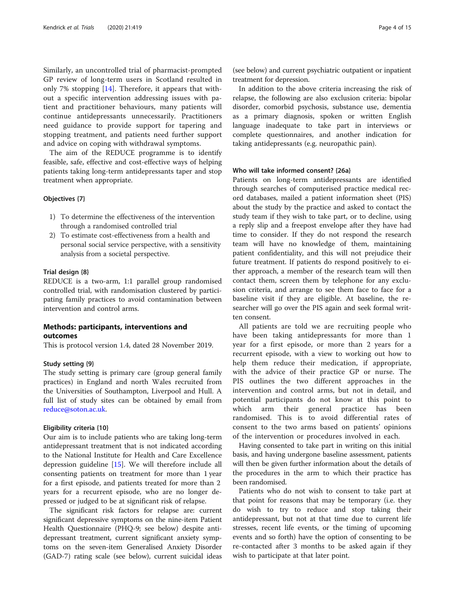Similarly, an uncontrolled trial of pharmacist-prompted GP review of long-term users in Scotland resulted in only 7% stopping  $[14]$  $[14]$ . Therefore, it appears that without a specific intervention addressing issues with patient and practitioner behaviours, many patients will continue antidepressants unnecessarily. Practitioners need guidance to provide support for tapering and stopping treatment, and patients need further support and advice on coping with withdrawal symptoms.

The aim of the REDUCE programme is to identify feasible, safe, effective and cost-effective ways of helping patients taking long-term antidepressants taper and stop treatment when appropriate.

#### Objectives {7}

- 1) To determine the effectiveness of the intervention through a randomised controlled trial
- 2) To estimate cost-effectiveness from a health and personal social service perspective, with a sensitivity analysis from a societal perspective.

#### Trial design {8}

REDUCE is a two-arm, 1:1 parallel group randomised controlled trial, with randomisation clustered by participating family practices to avoid contamination between intervention and control arms.

# Methods: participants, interventions and outcomes

This is protocol version 1.4, dated 28 November 2019.

#### Study setting {9}

The study setting is primary care (group general family practices) in England and north Wales recruited from the Universities of Southampton, Liverpool and Hull. A full list of study sites can be obtained by email from [reduce@soton.ac.uk.](mailto:reduce@soton.ac.uk)

#### Eligibility criteria {10}

Our aim is to include patients who are taking long-term antidepressant treatment that is not indicated according to the National Institute for Health and Care Excellence depression guideline [\[15\]](#page-13-0). We will therefore include all consenting patients on treatment for more than 1 year for a first episode, and patients treated for more than 2 years for a recurrent episode, who are no longer depressed or judged to be at significant risk of relapse.

The significant risk factors for relapse are: current significant depressive symptoms on the nine-item Patient Health Questionnaire (PHQ-9; see below) despite antidepressant treatment, current significant anxiety symptoms on the seven-item Generalised Anxiety Disorder (GAD-7) rating scale (see below), current suicidal ideas

(see below) and current psychiatric outpatient or inpatient treatment for depression.

In addition to the above criteria increasing the risk of relapse, the following are also exclusion criteria: bipolar disorder, comorbid psychosis, substance use, dementia as a primary diagnosis, spoken or written English language inadequate to take part in interviews or complete questionnaires, and another indication for taking antidepressants (e.g. neuropathic pain).

#### Who will take informed consent? {26a}

Patients on long-term antidepressants are identified through searches of computerised practice medical record databases, mailed a patient information sheet (PIS) about the study by the practice and asked to contact the study team if they wish to take part, or to decline, using a reply slip and a freepost envelope after they have had time to consider. If they do not respond the research team will have no knowledge of them, maintaining patient confidentiality, and this will not prejudice their future treatment. If patients do respond positively to either approach, a member of the research team will then contact them, screen them by telephone for any exclusion criteria, and arrange to see them face to face for a baseline visit if they are eligible. At baseline, the researcher will go over the PIS again and seek formal written consent.

All patients are told we are recruiting people who have been taking antidepressants for more than 1 year for a first episode, or more than 2 years for a recurrent episode, with a view to working out how to help them reduce their medication, if appropriate, with the advice of their practice GP or nurse. The PIS outlines the two different approaches in the intervention and control arms, but not in detail, and potential participants do not know at this point to which arm their general practice has been randomised. This is to avoid differential rates of consent to the two arms based on patients' opinions of the intervention or procedures involved in each.

Having consented to take part in writing on this initial basis, and having undergone baseline assessment, patients will then be given further information about the details of the procedures in the arm to which their practice has been randomised.

Patients who do not wish to consent to take part at that point for reasons that may be temporary (i.e. they do wish to try to reduce and stop taking their antidepressant, but not at that time due to current life stresses, recent life events, or the timing of upcoming events and so forth) have the option of consenting to be re-contacted after 3 months to be asked again if they wish to participate at that later point.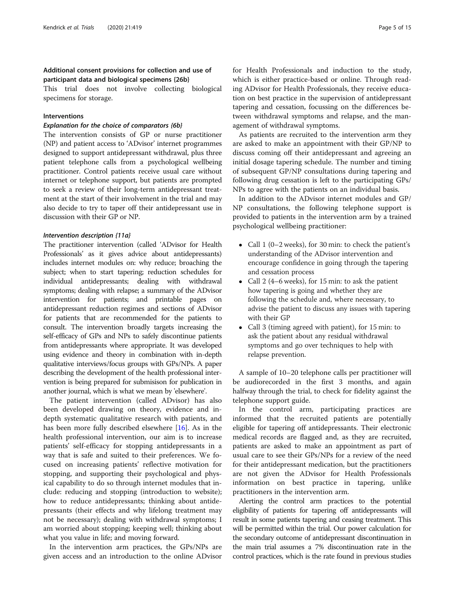# Additional consent provisions for collection and use of participant data and biological specimens {26b}

This trial does not involve collecting biological specimens for storage.

# Interventions

# Explanation for the choice of comparators {6b}

The intervention consists of GP or nurse practitioner (NP) and patient access to 'ADvisor' internet programmes designed to support antidepressant withdrawal, plus three patient telephone calls from a psychological wellbeing practitioner. Control patients receive usual care without internet or telephone support, but patients are prompted to seek a review of their long-term antidepressant treatment at the start of their involvement in the trial and may also decide to try to taper off their antidepressant use in discussion with their GP or NP.

#### Intervention description {11a}

The practitioner intervention (called 'ADvisor for Health Professionals' as it gives advice about antidepressants) includes internet modules on: why reduce; broaching the subject; when to start tapering; reduction schedules for individual antidepressants; dealing with withdrawal symptoms; dealing with relapse; a summary of the ADvisor intervention for patients; and printable pages on antidepressant reduction regimes and sections of ADvisor for patients that are recommended for the patients to consult. The intervention broadly targets increasing the self-efficacy of GPs and NPs to safely discontinue patients from antidepressants where appropriate. It was developed using evidence and theory in combination with in-depth qualitative interviews/focus groups with GPs/NPs. A paper describing the development of the health professional intervention is being prepared for submisison for publication in another journal, which is what we mean by 'elsewhere'.

The patient intervention (called ADvisor) has also been developed drawing on theory, evidence and indepth systematic qualitative research with patients, and has been more fully described elsewhere [[16](#page-13-0)]. As in the health professional intervention, our aim is to increase patients' self-efficacy for stopping antidepressants in a way that is safe and suited to their preferences. We focused on increasing patients' reflective motivation for stopping, and supporting their psychological and physical capability to do so through internet modules that include: reducing and stopping (introduction to website); how to reduce antidepressants; thinking about antidepressants (their effects and why lifelong treatment may not be necessary); dealing with withdrawal symptoms; I am worried about stopping; keeping well; thinking about what you value in life; and moving forward.

In the intervention arm practices, the GPs/NPs are given access and an introduction to the online ADvisor for Health Professionals and induction to the study, which is either practice-based or online. Through reading ADvisor for Health Professionals, they receive education on best practice in the supervision of antidepressant tapering and cessation, focussing on the differences between withdrawal symptoms and relapse, and the management of withdrawal symptoms.

As patients are recruited to the intervention arm they are asked to make an appointment with their GP/NP to discuss coming off their antidepressant and agreeing an initial dosage tapering schedule. The number and timing of subsequent GP/NP consultations during tapering and following drug cessation is left to the participating GPs/ NPs to agree with the patients on an individual basis.

In addition to the ADvisor internet modules and GP/ NP consultations, the following telephone support is provided to patients in the intervention arm by a trained psychological wellbeing practitioner:

- Call 1 (0–2 weeks), for 30 min: to check the patient's understanding of the ADvisor intervention and encourage confidence in going through the tapering and cessation process
- Call 2 (4–6 weeks), for 15 min: to ask the patient how tapering is going and whether they are following the schedule and, where necessary, to advise the patient to discuss any issues with tapering with their GP
- Call 3 (timing agreed with patient), for 15 min: to ask the patient about any residual withdrawal symptoms and go over techniques to help with relapse prevention.

A sample of 10–20 telephone calls per practitioner will be audiorecorded in the first 3 months, and again halfway through the trial, to check for fidelity against the telephone support guide.

In the control arm, participating practices are informed that the recruited patients are potentially eligible for tapering off antidepressants. Their electronic medical records are flagged and, as they are recruited, patients are asked to make an appointment as part of usual care to see their GPs/NPs for a review of the need for their antidepressant medication, but the practitioners are not given the ADvisor for Health Professionals information on best practice in tapering, unlike practitioners in the intervention arm.

Alerting the control arm practices to the potential eligibility of patients for tapering off antidepressants will result in some patients tapering and ceasing treatment. This will be permitted within the trial. Our power calculation for the secondary outcome of antidepressant discontinuation in the main trial assumes a 7% discontinuation rate in the control practices, which is the rate found in previous studies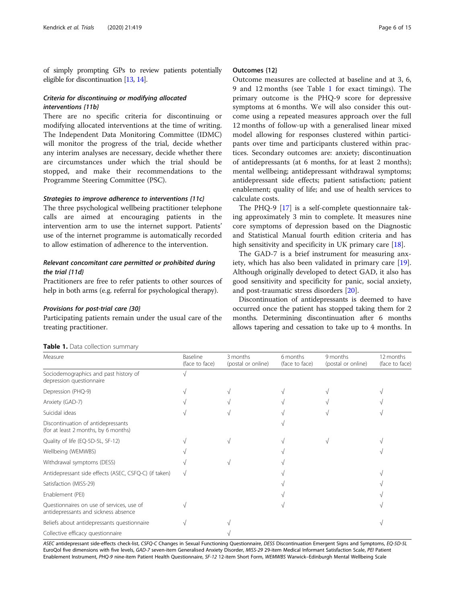<span id="page-5-0"></span>of simply prompting GPs to review patients potentially eligible for discontinuation [\[13](#page-13-0), [14](#page-13-0)].

# Criteria for discontinuing or modifying allocated interventions {11b}

There are no specific criteria for discontinuing or modifying allocated interventions at the time of writing. The Independent Data Monitoring Committee (IDMC) will monitor the progress of the trial, decide whether any interim analyses are necessary, decide whether there are circumstances under which the trial should be stopped, and make their recommendations to the Programme Steering Committee (PSC).

#### Strategies to improve adherence to interventions {11c}

The three psychological wellbeing practitioner telephone calls are aimed at encouraging patients in the intervention arm to use the internet support. Patients' use of the internet programme is automatically recorded to allow estimation of adherence to the intervention.

# Relevant concomitant care permitted or prohibited during the trial {11d}

Practitioners are free to refer patients to other sources of help in both arms (e.g. referral for psychological therapy).

# Provisions for post-trial care {30}

Participating patients remain under the usual care of the treating practitioner.

| Page 6 of 15 |  |  |  |
|--------------|--|--|--|
|--------------|--|--|--|

## Outcomes {12}

Outcome measures are collected at baseline and at 3, 6, 9 and 12 months (see Table 1 for exact timings). The primary outcome is the PHQ-9 score for depressive symptoms at 6 months. We will also consider this outcome using a repeated measures approach over the full 12 months of follow-up with a generalised linear mixed model allowing for responses clustered within participants over time and participants clustered within practices. Secondary outcomes are: anxiety; discontinuation of antidepressants (at 6 months, for at least 2 months); mental wellbeing; antidepressant withdrawal symptoms; antidepressant side effects; patient satisfaction; patient enablement; quality of life; and use of health services to calculate costs.

The PHQ-9 [\[17](#page-13-0)] is a self-complete questionnaire taking approximately 3 min to complete. It measures nine core symptoms of depression based on the Diagnostic and Statistical Manual fourth edition criteria and has high sensitivity and specificity in UK primary care [[18](#page-13-0)].

The GAD-7 is a brief instrument for measuring anxiety, which has also been validated in primary care [\[19](#page-13-0)]. Although originally developed to detect GAD, it also has good sensitivity and specificity for panic, social anxiety, and post-traumatic stress disorders [[20\]](#page-13-0).

Discontinuation of antidepressants is deemed to have occurred once the patient has stopped taking them for 2 months. Determining discontinuation after 6 months allows tapering and cessation to take up to 4 months. In

| <b>Table 1.</b> Data collection summary |  |
|-----------------------------------------|--|
|-----------------------------------------|--|

Measure **Baseline** (face to face) 3 months (postal or online) 6 months (face to face) 9 months (postal or online) 12 months (face to face) Sociodemographics and past history of depression questionnaire √ Depression (PHQ-9) √ √ √ √ √ √ √ Anxiety (GAD-7) √√ √√ √ Suicidal ideas √√ √√ √ Discontinuation of antidepressants (for at least 2 months, by 6 months) √ Quality of life (EQ-5D-5L, SF-12) √ √ √ √ √ √ √ Wellbeing (WEMWBS) √√√ Withdrawal symptoms (DESS) √√ √ Antidepressant side effects (ASEC, CSFQ-C) (if taken) √√√ Satisfaction (MISS-29) √ √ Enablement (PEI)  $\sqrt{\phantom{a}}$ Questionnaires on use of services, use of antidepressants and sickness absence √√√ Beliefs about antidepressants questionnaire √√ √ Collective efficacy questionnaire

ASEC antidepressant side-effects check-list, CSFQ-C Changes in Sexual Functioning Questionnaire, DESS Discontinuation Emergent Signs and Symptoms, EQ-5D-5L EuroQol five dimensions with five levels, GAD-7 seven-item Generalised Anxiety Disorder, MISS-29 29-item Medical Informant Satisfaction Scale, PEI Patient Enablement Instrument, PHQ-9 nine-item Patient Health Questionnaire, SF-12 12-item Short Form, WEMWBS Warwick–Edinburgh Mental Wellbeing Scale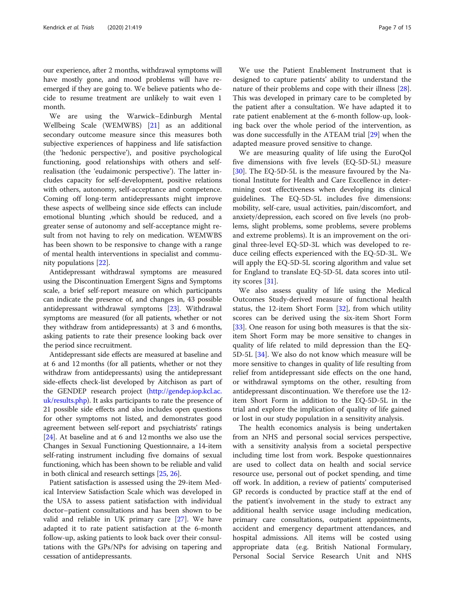our experience, after 2 months, withdrawal symptoms will have mostly gone, and mood problems will have reemerged if they are going to. We believe patients who decide to resume treatment are unlikely to wait even 1 month.

We are using the Warwick–Edinburgh Mental Wellbeing Scale (WEMWBS) [\[21](#page-13-0)] as an additional secondary outcome measure since this measures both subjective experiences of happiness and life satisfaction (the 'hedonic perspective'), and positive psychological functioning, good relationships with others and selfrealisation (the 'eudaimonic perspective'). The latter includes capacity for self-development, positive relations with others, autonomy, self-acceptance and competence. Coming off long-term antidepressants might improve these aspects of wellbeing since side effects can include emotional blunting ,which should be reduced, and a greater sense of autonomy and self-acceptance might result from not having to rely on medication. WEMWBS has been shown to be responsive to change with a range of mental health interventions in specialist and community populations [\[22\]](#page-13-0).

Antidepressant withdrawal symptoms are measured using the Discontinuation Emergent Signs and Symptoms scale, a brief self-report measure on which participants can indicate the presence of, and changes in, 43 possible antidepressant withdrawal symptoms [\[23\]](#page-13-0). Withdrawal symptoms are measured (for all patients, whether or not they withdraw from antidepressants) at 3 and 6 months, asking patients to rate their presence looking back over the period since recruitment.

Antidepressant side effects are measured at baseline and at 6 and 12 months (for all patients, whether or not they withdraw from antidepressants) using the antidepressant side-effects check-list developed by Aitchison as part of the GENDEP research project [\(http://gendep.iop.kcl.ac.](http://gendep.iop.kcl.ac.uk/results.php) [uk/results.php\)](http://gendep.iop.kcl.ac.uk/results.php). It asks participants to rate the presence of 21 possible side effects and also includes open questions for other symptoms not listed, and demonstrates good agreement between self-report and psychiatrists' ratings [[24](#page-13-0)]. At baseline and at 6 and 12 months we also use the Changes in Sexual Functioning Questionnaire, a 14-item self-rating instrument including five domains of sexual functioning, which has been shown to be reliable and valid in both clinical and research settings [\[25,](#page-13-0) [26](#page-13-0)].

Patient satisfaction is assessed using the 29-item Medical Interview Satisfaction Scale which was developed in the USA to assess patient satisfaction with individual doctor–patient consultations and has been shown to be valid and reliable in UK primary care [[27\]](#page-13-0). We have adapted it to rate patient satisfaction at the 6-month follow-up, asking patients to look back over their consultations with the GPs/NPs for advising on tapering and cessation of antidepressants.

We use the Patient Enablement Instrument that is designed to capture patients' ability to understand the nature of their problems and cope with their illness [\[28](#page-13-0)]. This was developed in primary care to be completed by the patient after a consultation. We have adapted it to rate patient enablement at the 6-month follow-up, looking back over the whole period of the intervention, as was done successfully in the ATEAM trial [[29](#page-13-0)] when the adapted measure proved sensitive to change.

We are measuring quality of life using the EuroQol five dimensions with five levels (EQ-5D-5L) measure [[30\]](#page-14-0). The EQ-5D-5L is the measure favoured by the National Institute for Health and Care Excellence in determining cost effectiveness when developing its clinical guidelines. The EQ-5D-5L includes five dimensions: mobility, self-care, usual activities, pain/discomfort, and anxiety/depression, each scored on five levels (no problems, slight problems, some problems, severe problems and extreme problems). It is an improvement on the original three-level EQ-5D-3L which was developed to reduce ceiling effects experienced with the EQ-5D-3L. We will apply the EQ-5D-5L scoring algorithm and value set for England to translate EQ-5D-5L data scores into utility scores [\[31\]](#page-14-0).

We also assess quality of life using the Medical Outcomes Study-derived measure of functional health status, the 12-item Short Form [\[32\]](#page-14-0), from which utility scores can be derived using the six-item Short Form [[33\]](#page-14-0). One reason for using both measures is that the sixitem Short Form may be more sensitive to changes in quality of life related to mild depression than the EQ-5D-5L [\[34\]](#page-14-0). We also do not know which measure will be more sensitive to changes in quality of life resulting from relief from antidepressant side effects on the one hand, or withdrawal symptoms on the other, resulting from antidepressant discontinuation. We therefore use the 12 item Short Form in addition to the EQ-5D-5L in the trial and explore the implication of quality of life gained or lost in our study population in a sensitivity analysis.

The health economics analysis is being undertaken from an NHS and personal social services perspective, with a sensitivity analysis from a societal perspective including time lost from work. Bespoke questionnaires are used to collect data on health and social service resource use, personal out of pocket spending, and time off work. In addition, a review of patients' computerised GP records is conducted by practice staff at the end of the patient's involvement in the study to extract any additional health service usage including medication, primary care consultations, outpatient appointments, accident and emergency department attendances, and hospital admissions. All items will be costed using appropriate data (e.g. British National Formulary, Personal Social Service Research Unit and NHS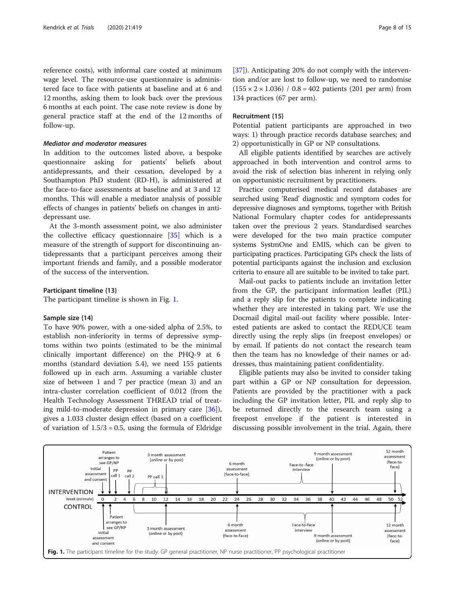reference costs), with informal care costed at minimum wage level. The resource-use questionnaire is administered face to face with patients at baseline and at 6 and 12 months, asking them to look back over the previous 6 months at each point. The case note review is done by general practice staff at the end of the 12 months of follow-up.

#### Mediator and moderator measures

In addition to the outcomes listed above, a bespoke questionnaire asking for patients' beliefs about antidepressants, and their cessation, developed by a Southampton PhD student (RD-H), is administered at the face-to-face assessments at baseline and at 3 and 12 months. This will enable a mediator analysis of possible effects of changes in patients' beliefs on changes in antidepressant use.

At the 3-month assessment point, we also administer the collective efficacy questionnaire [[35\]](#page-14-0) which is a measure of the strength of support for discontinuing antidepressants that a participant perceives among their important friends and family, and a possible moderator of the success of the intervention.

#### Participant timeline {13}

The participant timeline is shown in Fig. 1.

#### Sample size {14}

To have 90% power, with a one-sided alpha of 2.5%, to establish non-inferiority in terms of depressive symptoms within two points (estimated to be the minimal clinically important difference) on the PHQ-9 at 6 months (standard deviation 5.4), we need 155 patients followed up in each arm. Assuming a variable cluster size of between 1 and 7 per practice (mean 3) and an intra-cluster correlation coefficient of 0.012 (from the Health Technology Assessment THREAD trial of treating mild-to-moderate depression in primary care [\[36](#page-14-0)]), gives a 1.033 cluster design effect (based on a coefficient of variation of  $1.5/3 = 0.5$ , using the formula of Eldridge

[[37\]](#page-14-0)). Anticipating 20% do not comply with the intervention and/or are lost to follow-up, we need to randomise  $(155 \times 2 \times 1.036)$  / 0.8 = 402 patients (201 per arm) from 134 practices (67 per arm).

#### Recruitment {15}

Potential patient participants are approached in two ways: 1) through practice records database searches; and 2) opportunistically in GP or NP consultations.

All eligible patients identified by searches are actively approached in both intervention and control arms to avoid the risk of selection bias inherent in relying only on opportunistic recruitment by practitioners.

Practice computerised medical record databases are searched using 'Read' diagnostic and symptom codes for depressive diagnoses and symptoms, together with British National Formulary chapter codes for antidepressants taken over the previous 2 years. Standardised searches were developed for the two main practice computer systems SystmOne and EMIS, which can be given to participating practices. Participating GPs check the lists of potential participants against the inclusion and exclusion criteria to ensure all are suitable to be invited to take part.

Mail-out packs to patients include an invitation letter from the GP, the participant information leaflet (PIL) and a reply slip for the patients to complete indicating whether they are interested in taking part. We use the Docmail digital mail-out facility where possible. Interested patients are asked to contact the REDUCE team directly using the reply slips (in freepost envelopes) or by email. If patients do not contact the research team then the team has no knowledge of their names or addresses, thus maintaining patient confidentiality.

Eligible patients may also be invited to consider taking part within a GP or NP consultation for depression. Patients are provided by the practitioner with a pack including the GP invitation letter, PIL and reply slip to be returned directly to the research team using a freepost envelope if the patient is interested in discussing possible involvement in the trial. Again, there

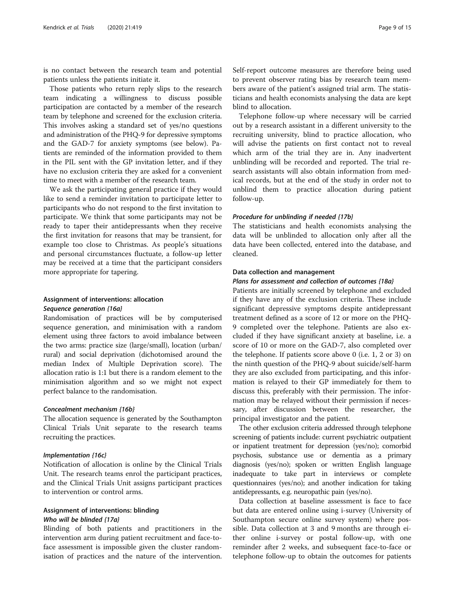is no contact between the research team and potential patients unless the patients initiate it.

Those patients who return reply slips to the research team indicating a willingness to discuss possible participation are contacted by a member of the research team by telephone and screened for the exclusion criteria. This involves asking a standard set of yes/no questions and administration of the PHQ-9 for depressive symptoms and the GAD-7 for anxiety symptoms (see below). Patients are reminded of the information provided to them in the PIL sent with the GP invitation letter, and if they have no exclusion criteria they are asked for a convenient time to meet with a member of the research team.

We ask the participating general practice if they would like to send a reminder invitation to participate letter to participants who do not respond to the first invitation to participate. We think that some participants may not be ready to taper their antidepressants when they receive the first invitation for reasons that may be transient, for example too close to Christmas. As people's situations and personal circumstances fluctuate, a follow-up letter may be received at a time that the participant considers more appropriate for tapering.

# Assignment of interventions: allocation Sequence generation {16a}

Randomisation of practices will be by computerised sequence generation, and minimisation with a random element using three factors to avoid imbalance between the two arms: practice size (large/small), location (urban/ rural) and social deprivation (dichotomised around the median Index of Multiple Deprivation score). The allocation ratio is 1:1 but there is a random element to the minimisation algorithm and so we might not expect perfect balance to the randomisation.

# Concealment mechanism {16b}

The allocation sequence is generated by the Southampton Clinical Trials Unit separate to the research teams recruiting the practices.

#### Implementation {16c}

Notification of allocation is online by the Clinical Trials Unit. The research teams enrol the participant practices, and the Clinical Trials Unit assigns participant practices to intervention or control arms.

# Assignment of interventions: blinding Who will be blinded {17a}

Blinding of both patients and practitioners in the intervention arm during patient recruitment and face-toface assessment is impossible given the cluster randomisation of practices and the nature of the intervention. Self-report outcome measures are therefore being used to prevent observer rating bias by research team members aware of the patient's assigned trial arm. The statisticians and health economists analysing the data are kept blind to allocation.

Telephone follow-up where necessary will be carried out by a research assistant in a different university to the recruiting university, blind to practice allocation, who will advise the patients on first contact not to reveal which arm of the trial they are in. Any inadvertent unblinding will be recorded and reported. The trial research assistants will also obtain information from medical records, but at the end of the study in order not to unblind them to practice allocation during patient follow-up.

## Procedure for unblinding if needed {17b}

The statisticians and health economists analysing the data will be unblinded to allocation only after all the data have been collected, entered into the database, and cleaned.

#### Data collection and management

#### Plans for assessment and collection of outcomes {18a}

Patients are initially screened by telephone and excluded if they have any of the exclusion criteria. These include significant depressive symptoms despite antidepressant treatment defined as a score of 12 or more on the PHQ-9 completed over the telephone. Patients are also excluded if they have significant anxiety at baseline, i.e. a score of 10 or more on the GAD-7, also completed over the telephone. If patients score above 0 (i.e. 1, 2 or 3) on the ninth question of the PHQ-9 about suicide/self-harm they are also excluded from participating, and this information is relayed to their GP immediately for them to discuss this, preferably with their permission. The information may be relayed without their permission if necessary, after discussion between the researcher, the principal investigator and the patient.

The other exclusion criteria addressed through telephone screening of patients include: current psychiatric outpatient or inpatient treatment for depression (yes/no); comorbid psychosis, substance use or dementia as a primary diagnosis (yes/no); spoken or written English language inadequate to take part in interviews or complete questionnaires (yes/no); and another indication for taking antidepressants, e.g. neuropathic pain (yes/no).

Data collection at baseline assessment is face to face but data are entered online using i-survey (University of Southampton secure online survey system) where possible. Data collection at 3 and 9 months are through either online i-survey or postal follow-up, with one reminder after 2 weeks, and subsequent face-to-face or telephone follow-up to obtain the outcomes for patients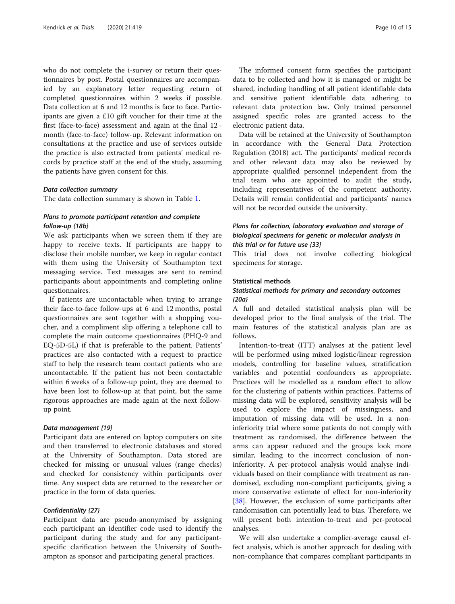who do not complete the i-survey or return their questionnaires by post. Postal questionnaires are accompanied by an explanatory letter requesting return of completed questionnaires within 2 weeks if possible. Data collection at 6 and 12 months is face to face. Participants are given a £10 gift voucher for their time at the first (face-to-face) assessment and again at the final 12 month (face-to-face) follow-up. Relevant information on consultations at the practice and use of services outside the practice is also extracted from patients' medical records by practice staff at the end of the study, assuming the patients have given consent for this.

#### Data collection summary

The data collection summary is shown in Table [1.](#page-5-0)

# Plans to promote participant retention and complete follow-up {18b}

We ask participants when we screen them if they are happy to receive texts. If participants are happy to disclose their mobile number, we keep in regular contact with them using the University of Southampton text messaging service. Text messages are sent to remind participants about appointments and completing online questionnaires.

If patients are uncontactable when trying to arrange their face-to-face follow-ups at 6 and 12 months, postal questionnaires are sent together with a shopping voucher, and a compliment slip offering a telephone call to complete the main outcome questionnaires (PHQ-9 and EQ-5D-5L) if that is preferable to the patient. Patients' practices are also contacted with a request to practice staff to help the research team contact patients who are uncontactable. If the patient has not been contactable within 6 weeks of a follow-up point, they are deemed to have been lost to follow-up at that point, but the same rigorous approaches are made again at the next followup point.

#### Data management {19}

Participant data are entered on laptop computers on site and then transferred to electronic databases and stored at the University of Southampton. Data stored are checked for missing or unusual values (range checks) and checked for consistency within participants over time. Any suspect data are returned to the researcher or practice in the form of data queries.

#### Confidentiality {27}

Participant data are pseudo-anonymised by assigning each participant an identifier code used to identify the participant during the study and for any participantspecific clarification between the University of Southampton as sponsor and participating general practices.

The informed consent form specifies the participant data to be collected and how it is managed or might be shared, including handling of all patient identifiable data and sensitive patient identifiable data adhering to relevant data protection law. Only trained personnel assigned specific roles are granted access to the electronic patient data.

Data will be retained at the University of Southampton in accordance with the General Data Protection Regulation (2018) act. The participants' medical records and other relevant data may also be reviewed by appropriate qualified personnel independent from the trial team who are appointed to audit the study, including representatives of the competent authority. Details will remain confidential and participants' names will not be recorded outside the university.

# Plans for collection, laboratory evaluation and storage of biological specimens for genetic or molecular analysis in this trial or for future use {33}

This trial does not involve collecting biological specimens for storage.

#### Statistical methods

# Statistical methods for primary and secondary outcomes {20a}

A full and detailed statistical analysis plan will be developed prior to the final analysis of the trial. The main features of the statistical analysis plan are as follows.

Intention-to-treat (ITT) analyses at the patient level will be performed using mixed logistic/linear regression models, controlling for baseline values, stratification variables and potential confounders as appropriate. Practices will be modelled as a random effect to allow for the clustering of patients within practices. Patterns of missing data will be explored, sensitivity analysis will be used to explore the impact of missingness, and imputation of missing data will be used. In a noninferiority trial where some patients do not comply with treatment as randomised, the difference between the arms can appear reduced and the groups look more similar, leading to the incorrect conclusion of noninferiority. A per-protocol analysis would analyse individuals based on their compliance with treatment as randomised, excluding non-compliant participants, giving a more conservative estimate of effect for non-inferiority [[38\]](#page-14-0). However, the exclusion of some participants after randomisation can potentially lead to bias. Therefore, we will present both intention-to-treat and per-protocol analyses.

We will also undertake a complier-average causal effect analysis, which is another approach for dealing with non-compliance that compares compliant participants in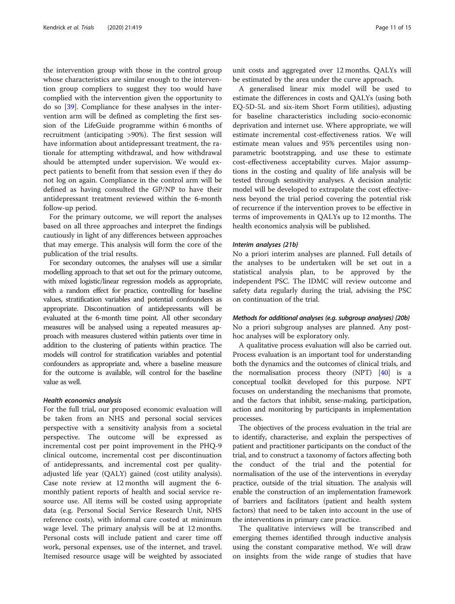the intervention group with those in the control group whose characteristics are similar enough to the intervention group compliers to suggest they too would have complied with the intervention given the opportunity to do so [[39](#page-14-0)]. Compliance for these analyses in the intervention arm will be defined as completing the first session of the LifeGuide programme within 6 months of recruitment (anticipating >90%). The first session will have information about antidepressant treatment, the rationale for attempting withdrawal, and how withdrawal should be attempted under supervision. We would expect patients to benefit from that session even if they do not log on again. Compliance in the control arm will be defined as having consulted the GP/NP to have their antidepressant treatment reviewed within the 6-month follow-up period.

For the primary outcome, we will report the analyses based on all three approaches and interpret the findings cautiously in light of any differences between approaches that may emerge. This analysis will form the core of the publication of the trial results.

For secondary outcomes, the analyses will use a similar modelling approach to that set out for the primary outcome, with mixed logistic/linear regression models as appropriate, with a random effect for practice, controlling for baseline values, stratification variables and potential confounders as appropriate. Discontinuation of antidepressants will be evaluated at the 6-month time point. All other secondary measures will be analysed using a repeated measures approach with measures clustered within patients over time in addition to the clustering of patients within practice. The models will control for stratification variables and potential confounders as appropriate and, where a baseline measure for the outcome is available, will control for the baseline value as well.

#### Health economics analysis

For the full trial, our proposed economic evaluation will be taken from an NHS and personal social services perspective with a sensitivity analysis from a societal perspective. The outcome will be expressed as incremental cost per point improvement in the PHQ-9 clinical outcome, incremental cost per discontinuation of antidepressants, and incremental cost per qualityadjusted life year (QALY) gained (cost utility analysis). Case note review at 12 months will augment the 6 monthly patient reports of health and social service resource use. All items will be costed using appropriate data (e.g. Personal Social Service Research Unit, NHS reference costs), with informal care costed at minimum wage level. The primary analysis will be at 12 months. Personal costs will include patient and carer time off work, personal expenses, use of the internet, and travel. Itemised resource usage will be weighted by associated

unit costs and aggregated over 12 months. QALYs will be estimated by the area under the curve approach.

A generalised linear mix model will be used to estimate the differences in costs and QALYs (using both EQ-5D-5L and six-item Short Form utilities), adjusting for baseline characteristics including socio-economic deprivation and internet use. Where appropriate, we will estimate incremental cost-effectiveness ratios. We will estimate mean values and 95% percentiles using nonparametric bootstrapping, and use these to estimate cost-effectiveness acceptability curves. Major assumptions in the costing and quality of life analysis will be tested through sensitivity analyses. A decision analytic model will be developed to extrapolate the cost effectiveness beyond the trial period covering the potential risk of recurrence if the intervention proves to be effective in terms of improvements in QALYs up to 12 months. The health economics analysis will be published.

#### Interim analyses {21b}

No a priori interim analyses are planned. Full details of the analyses to be undertaken will be set out in a statistical analysis plan, to be approved by the independent PSC. The IDMC will review outcome and safety data regularly during the trial, advising the PSC on continuation of the trial.

Methods for additional analyses (e.g. subgroup analyses) {20b} No a priori subgroup analyses are planned. Any posthoc analyses will be exploratory only.

A qualitative process evaluation will also be carried out. Process evaluation is an important tool for understanding both the dynamics and the outcomes of clinical trials, and the normalisation process theory (NPT) [\[40](#page-14-0)] is a conceptual toolkit developed for this purpose. NPT focuses on understanding the mechanisms that promote, and the factors that inhibit, sense-making, participation, action and monitoring by participants in implementation processes.

The objectives of the process evaluation in the trial are to identify, characterise, and explain the perspectives of patient and practitioner participants on the conduct of the trial, and to construct a taxonomy of factors affecting both the conduct of the trial and the potential for normalisation of the use of the interventions in everyday practice, outside of the trial situation. The analysis will enable the construction of an implementation framework of barriers and facilitators (patient and health system factors) that need to be taken into account in the use of the interventions in primary care practice.

The qualitative interviews will be transcribed and emerging themes identified through inductive analysis using the constant comparative method. We will draw on insights from the wide range of studies that have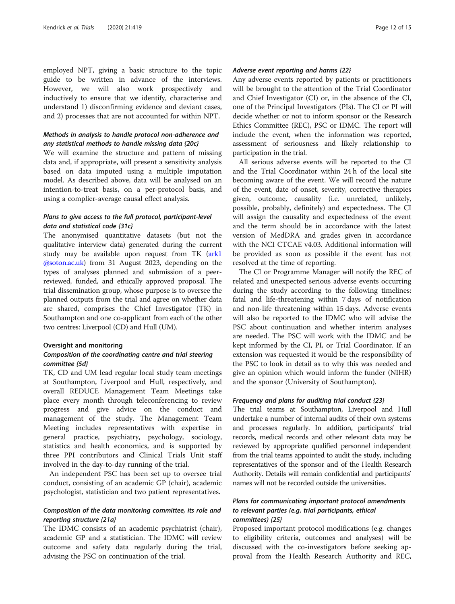employed NPT, giving a basic structure to the topic guide to be written in advance of the interviews. However, we will also work prospectively and inductively to ensure that we identify, characterise and understand 1) disconfirming evidence and deviant cases, and 2) processes that are not accounted for within NPT.

# Methods in analysis to handle protocol non-adherence and any statistical methods to handle missing data {20c}

We will examine the structure and pattern of missing data and, if appropriate, will present a sensitivity analysis based on data imputed using a multiple imputation model. As described above, data will be analysed on an intention-to-treat basis, on a per-protocol basis, and using a complier-average causal effect analysis.

# Plans to give access to the full protocol, participant-level data and statistical code {31c}

The anonymised quantitative datasets (but not the qualitative interview data) generated during the current study may be available upon request from TK [\(ark1](mailto:ark1@soton.ac.uk) [@soton.ac.uk\)](mailto:ark1@soton.ac.uk) from 31 August 2023, depending on the types of analyses planned and submission of a peerreviewed, funded, and ethically approved proposal. The trial dissemination group, whose purpose is to oversee the planned outputs from the trial and agree on whether data are shared, comprises the Chief Investigator (TK) in Southampton and one co-applicant from each of the other two centres: Liverpool (CD) and Hull (UM).

#### Oversight and monitoring

# Composition of the coordinating centre and trial steering committee {5d}

TK, CD and UM lead regular local study team meetings at Southampton, Liverpool and Hull, respectively, and overall REDUCE Management Team Meetings take place every month through teleconferencing to review progress and give advice on the conduct and management of the study. The Management Team Meeting includes representatives with expertise in general practice, psychiatry, psychology, sociology, statistics and health economics, and is supported by three PPI contributors and Clinical Trials Unit staff involved in the day-to-day running of the trial.

An independent PSC has been set up to oversee trial conduct, consisting of an academic GP (chair), academic psychologist, statistician and two patient representatives.

# Composition of the data monitoring committee, its role and reporting structure {21a}

The IDMC consists of an academic psychiatrist (chair), academic GP and a statistician. The IDMC will review outcome and safety data regularly during the trial, advising the PSC on continuation of the trial.

# Adverse event reporting and harms {22}

Any adverse events reported by patients or practitioners will be brought to the attention of the Trial Coordinator and Chief Investigator (CI) or, in the absence of the CI, one of the Principal Investigators (PIs). The CI or PI will decide whether or not to inform sponsor or the Research Ethics Committee (REC), PSC or IDMC. The report will include the event, when the information was reported, assessment of seriousness and likely relationship to participation in the trial.

All serious adverse events will be reported to the CI and the Trial Coordinator within 24 h of the local site becoming aware of the event. We will record the nature of the event, date of onset, severity, corrective therapies given, outcome, causality (i.e. unrelated, unlikely, possible, probably, definitely) and expectedness. The CI will assign the causality and expectedness of the event and the term should be in accordance with the latest version of MedDRA and grades given in accordance with the NCI CTCAE v4.03. Additional information will be provided as soon as possible if the event has not resolved at the time of reporting.

The CI or Programme Manager will notify the REC of related and unexpected serious adverse events occurring during the study according to the following timelines: fatal and life-threatening within 7 days of notification and non-life threatening within 15 days. Adverse events will also be reported to the IDMC who will advise the PSC about continuation and whether interim analyses are needed. The PSC will work with the IDMC and be kept informed by the CI, PI, or Trial Coordinator. If an extension was requested it would be the responsibility of the PSC to look in detail as to why this was needed and give an opinion which would inform the funder (NIHR) and the sponsor (University of Southampton).

#### Frequency and plans for auditing trial conduct {23}

The trial teams at Southampton, Liverpool and Hull undertake a number of internal audits of their own systems and processes regularly. In addition, participants' trial records, medical records and other relevant data may be reviewed by appropriate qualified personnel independent from the trial teams appointed to audit the study, including representatives of the sponsor and of the Health Research Authority. Details will remain confidential and participants' names will not be recorded outside the universities.

# Plans for communicating important protocol amendments to relevant parties (e.g. trial participants, ethical committees) {25}

Proposed important protocol modifications (e.g. changes to eligibility criteria, outcomes and analyses) will be discussed with the co-investigators before seeking approval from the Health Research Authority and REC,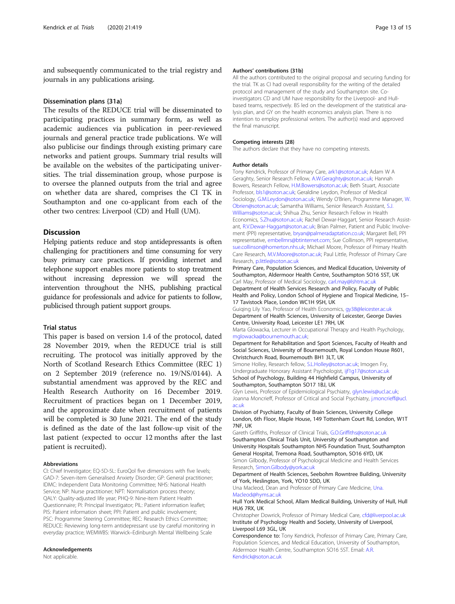and subsequently communicated to the trial registry and journals in any publications arising.

#### Dissemination plans {31a}

The results of the REDUCE trial will be disseminated to participating practices in summary form, as well as academic audiences via publication in peer-reviewed journals and general practice trade publications. We will also publicise our findings through existing primary care networks and patient groups. Summary trial results will be available on the websites of the participating universities. The trial dissemination group, whose purpose is to oversee the planned outputs from the trial and agree on whether data are shared, comprises the CI TK in Southampton and one co-applicant from each of the other two centres: Liverpool (CD) and Hull (UM).

# **Discussion**

Helping patients reduce and stop antidepressants is often challenging for practitioners and time consuming for very busy primary care practices. If providing internet and telephone support enables more patients to stop treatment without increasing depression we will spread the intervention throughout the NHS, publishing practical guidance for professionals and advice for patients to follow, publicised through patient support groups.

#### Trial status

This paper is based on version 1.4 of the protocol, dated 28 November 2019, when the REDUCE trial is still recruiting. The protocol was initially approved by the North of Scotland Research Ethics Committee (REC 1) on 2 September 2019 (reference no. 19/NS/0144). A substantial amendment was approved by the REC and Health Research Authority on 16 December 2019. Recruitment of practices began on 1 December 2019, and the approximate date when recruitment of patients will be completed is 30 June 2021. The end of the study is defined as the date of the last follow-up visit of the last patient (expected to occur 12 months after the last patient is recruited).

#### Abbreviations

CI: Chief Investigator; EQ-5D-5L: EuroQol five dimensions with five levels; GAD-7: Seven-item Generalised Anxiety Disorder; GP: General practitioner; IDMC: Independent Data Monitoring Committee; NHS: National Health Service; NP: Nurse practitioner; NPT: Normalisation process theory; QALY: Quality-adjusted life year; PHQ-9: Nine-item Patient Health Questionnaire; PI: Principal Investigator; PIL: Patient information leaflet; PIS: Patient information sheet; PPI: Patient and public involvement; PSC: Programme Steering Committee; REC: Research Ethics Committee; REDUCE: Reviewing long-term antidepressant use by careful monitoring in everyday practice; WEMWBS: Warwick–Edinburgh Mental Wellbeing Scale

Acknowledgements

Not applicable.

#### Authors' contributions {31b}

All the authors contributed to the original proposal and securing funding for the trial. TK as CI had overall responsibility for the writing of the detailed protocol and management of the study and Southampton site. Coinvestigators CD and UM have responsibility for the Liverpool- and Hullbased teams, respectively. BS led on the development of the statistical analysis plan, and GY on the health economics analysis plan. There is no intention to employ professional writers. The author(s) read and approved the final manuscript.

#### Competing interests {28}

The authors declare that they have no competing interests.

#### Author details

Tony Kendrick, Professor of Primary Care, [ark1@soton.ac.uk;](mailto:ark1@soton.ac.uk) Adam W A Geraghty, Senior Research Fellow, [A.W.Geraghty@soton.ac.uk](mailto:A.W.Geraghty@soton.ac.uk); Hannah Bowers, Research Fellow, [H.M.Bowers@soton.ac.uk;](mailto:H.M.Bowers@soton.ac.uk) Beth Stuart, Associate Professor, [bls1@soton.ac.uk;](mailto:bls1@soton.ac.uk) Geraldine Leydon, Professor of Medical Sociology, [G.M.Leydon@soton.ac.uk](mailto:G.M.Leydon@soton.ac.uk); Wendy O'Brien, Programme Manager, [W.](mailto:W.Obrien@soton.ac.uk) [Obrien@soton.ac.uk;](mailto:W.Obrien@soton.ac.uk) Samantha Williams, Senior Research Assistant, [S.J.](mailto:S.J.Williams@soton.ac.uk) [Williams@soton.ac.uk;](mailto:S.J.Williams@soton.ac.uk) Shihua Zhu, Senior Research Fellow in Health Economics, [S.Zhu@soton.ac.uk;](mailto:S.Zhu@soton.ac.uk) Rachel Dewar-Haggart, Senior Research Assistant, [R.V.Dewar-Haggart@soton.ac.uk;](mailto:R.V.Dewar-Haggart@soton.ac.uk) Brian Palmer, Patient and Public Involvement (PPI) representative, [bryan@palmeradaptation.co.uk](mailto:bryan@palmeradaptation.co.uk); Margaret Bell, PPI representative, [embellmrs@btinternet.com;](mailto:embellmrs@btinternet.com) Sue Collinson, PPI representative, [sue.collinson@homerton.nhs.uk;](mailto:sue.collinson@homerton.nhs.uk) Michael Moore, Professor of Primary Health Care Research, [M.V.Moore@soton.ac.uk](mailto:M.V.Moore@soton.ac.uk); Paul Little, Professor of Primary Care Research, [p.little@soton.ac.uk](mailto:p.little@soton.ac.uk)

Primary Care, Population Sciences, and Medical Education, University of Southampton, Aldermoor Health Centre, Southampton SO16 5ST, UK Carl May, Professor of Medical Sociology, [carl.may@lshtm.ac.uk](mailto:carl.may@lshtm.ac.uk)

Department of Health Services Research and Policy, Faculty of Public Health and Policy, London School of Hygiene and Tropical Medicine, 15– 17 Tavistock Place, London WC1H 9SH, UK

Guiqing Lily Yao, Professor of Health Economics, [gy38@leicester.ac.uk](mailto:gy38@leicester.ac.uk) Department of Health Sciences, University of Leicester, George Davies Centre, University Road, Leicester LE1 7RH, UK

Marta Glowacka, Lecturer in Occupational Therapy and Health Psychology, [mglowacka@bournemouth.ac.uk](mailto:mglowacka@bournemouth.ac.uk);

Department for Rehabilitation and Sport Sciences, Faculty of Health and Social Sciences, University of Bournemouth, Royal London House R601, Christchurch Road, Bournemouth BH1 3LT, UK

Simone Holley, Research fellow, [S.L.Holley@soton.ac.uk;](mailto:S.L.Holley@soton.ac.uk) Imogen Fry, Undergraduate Honorary Assistant Psychologist, [ijf1g17@soton.ac.uk](mailto:ijf1g17@soton.ac.uk) School of Psychology, Building 44 Highfield Campus, University of Southampton, Southampton SO17 1BJ, UK

Glyn Lewis, Professor of Epidemiological Psychiatry, [glyn.lewis@ucl.ac.uk;](mailto:glyn.lewis@ucl.ac.uk) Joanna Moncrieff, Professor of Critical and Social Psychiatry, [j.moncrieff@ucl.](mailto:j.moncrieff@ucl.ac.uk) [ac.uk](mailto:j.moncrieff@ucl.ac.uk)

Division of Psychiatry, Faculty of Brain Sciences, University College London, 6th Floor, Maple House, 149 Tottenham Court Rd, London, W1T 7NF, UK

Gareth Griffiths, Professor of Clinical Trials, [G.O.Griffiths@soton.ac.uk](mailto:G.O.Griffiths@soton.ac.uk) Southampton Clinical Trials Unit, University of Southampton and University Hospitals Southampton NHS Foundation Trust, Southampton General Hospital, Tremona Road, Southampton, SO16 6YD, UK Simon Gilbody, Professor of Psychological Medicine and Health Services Research, [Simon.Gilbody@york.ac.uk](mailto:Simon.Gilbody@york.ac.uk)

Department of Health Sciences, Seebohm Rowntree Building, University of York, Heslington, York, YO10 5DD, UK

Una Macleod, Dean and Professor of Primary Care Medicine, [Una.](mailto:Una.Macleod@hyms.ac.uk) [Macleod@hyms.ac.uk](mailto:Una.Macleod@hyms.ac.uk)

Hull York Medical School, Allam Medical Building, University of Hull, Hull HU6 7RX, UK

Christopher Dowrick, Professor of Primary Medical Care, [cfd@liverpool.ac.uk](mailto:cfd@liverpool.ac.uk) Institute of Psychology Health and Society, University of Liverpool, Liverpool L69 3GL, UK

Correspondence to: Tony Kendrick, Professor of Primary Care, Primary Care, Population Sciences, and Medical Education, University of Southampton, Aldermoor Health Centre, Southampton SO16 5ST. Email: [A.R.](mailto:A.R.Kendrick@soton.ac.uk) [Kendrick@soton.ac.uk](mailto:A.R.Kendrick@soton.ac.uk)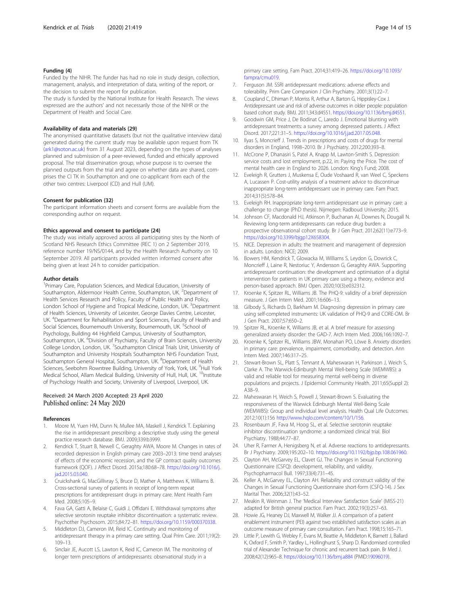#### <span id="page-13-0"></span>Funding {4}

Funded by the NIHR. The funder has had no role in study design, collection, management, analysis, and interpretation of data, writing of the report, or the decision to submit the report for publication.

The study is funded by the National Institute for Health Research. The views expressed are the authors' and not necessarily those of the NIHR or the Department of Health and Social Care.

#### Availability of data and materials {29}

The anonymised quantitative datasets (but not the qualitative interview data) generated during the current study may be available upon request from TK ([ark1@soton.ac.uk](mailto:ark1@soton.ac.uk)) from 31 August 2023, depending on the types of analyses planned and submission of a peer-reviewed, funded and ethically approved proposal. The trial dissemination group, whose purpose is to oversee the planned outputs from the trial and agree on whether data are shared, comprises the CI TK in Southampton and one co-applicant from each of the other two centres: Liverpool (CD) and Hull (UM).

#### Consent for publication {32}

The participant information sheets and consent forms are available from the corresponding author on request.

#### Ethics approval and consent to participate {24}

The study was initially approved across all participating sites by the North of Scotland NHS Research Ethics Committee (REC 1) on 2 September 2019, reference number 19/NS/0144, and by the Health Research Authority on 10 September 2019. All participants provided written informed consent after being given at least 24 h to consider participation.

#### Author details

<sup>1</sup> Primary Care, Population Sciences, and Medical Education, University of Southampton, Aldermoor Health Centre, Southampton, UK. <sup>2</sup>Department of Health Services Research and Policy, Faculty of Public Health and Policy, London School of Hygiene and Tropical Medicine, London, UK. <sup>3</sup>Department of Health Sciences, University of Leicester, George Davies Centre, Leicester, UK. <sup>4</sup>Department for Rehabilitation and Sport Sciences, Faculty of Health and Social Sciences, Bournemouth University, Bournemouth, UK. <sup>5</sup>School of Psychology, Building 44 Highfield Campus, University of Southampton, Southampton, UK. <sup>6</sup>Division of Psychiatry, Faculty of Brain Sciences, University College London, London, UK. <sup>7</sup>Southampton Clinical Trials Unit, University of Southampton and University Hospitals Southampton NHS Foundation Trust, Southampton General Hospital, Southampton, UK. <sup>8</sup>Department of Health Sciences, Seebohm Rowntree Building, University of York, York, UK. <sup>9</sup>Hull York Medical School, Allam Medical Building, University of Hull, Hull, UK. <sup>10</sup>Institute of Psychology Health and Society, University of Liverpool, Liverpool, UK.

## Received: 24 March 2020 Accepted: 23 April 2020 Published online: 24 May 2020

#### References

- 1. Moore M, Yuen HM, Dunn N, Mullee MA, Maskell J, Kendrick T. Explaining the rise in antidepressant prescribing: a descriptive study using the general practice research database. BMJ. 2009;339:b3999.
- 2. Kendrick T, Stuart B, Newell C, Geraghty AWA, Moore M. Changes in rates of recorded depression in English primary care 2003–2013: time trend analyses of effects of the economic recession, and the GP contract quality outcomes framework (QOF). J Affect Disord. 2015a;180:68–78. [https://doi.org/10.1016/j.](https://doi.org/10.1016/j.jad.2015.03.040) [jad.2015.03.040.](https://doi.org/10.1016/j.jad.2015.03.040)
- 3. Cruickshank G, MacGillivray S, Bruce D, Mather A, Matthews K, Williams B. Cross-sectional survey of patients in receipt of long-term repeat prescriptions for antidepressant drugs in primary care. Ment Health Fam Med. 2008;5:105–9.
- 4. Fava GA, Gatti A, Belaise C, Guidi J, Offidani E. Withdrawal symptoms after selective serotonin reuptake inhibitor discontinuation: a systematic review. Psychother Psychosom. 2015;84:72–81. [https://doi.org/10.1159/000370338.](https://doi.org/10.1159/000370338)
- 5. Middleton DJ, Cameron IM, Reid IC. Continuity and monitoring of antidepressant therapy in a primary care setting. Qual Prim Care. 2011;19(2): 109–13.
- 6. Sinclair JE, Aucott LS, Lawton K, Reid IC, Cameron IM. The monitoring of longer term prescriptions of antidepressants: observational study in a

primary care setting. Fam Pract. 2014;31:419–26. [https://doi.org/10.1093/](https://doi.org/10.1093/fampra/cmu019) [fampra/cmu019.](https://doi.org/10.1093/fampra/cmu019)

- 7. Ferguson JM. SSRI antidepressant medications: adverse effects and tolerability. Prim Care Companion J Clin Psychiatry. 2001;3(1):22–7.
- 8. Coupland C, Dhiman P, Morriss R, Arthur A, Barton G, Hippisley-Cox J. Antidepressant use and risk of adverse outcomes in older people: population based cohort study. BMJ. 2011;343:d4551. <https://doi.org/10.1136/bmj.d4551>.
- 9. Goodwin GM, Price J, De Bodinat C, Laredo J. Emotional blunting with antidepressant treatments: a survey among depressed patients. J Affect Disord. 2017;221:31–5. [https://doi.org/10.1016/j.jad.2017.05.048.](https://doi.org/10.1016/j.jad.2017.05.048)
- 10. Ilyas S, Moncrieff J. Trends in prescriptions and costs of drugs for mental disorders in England, 1998–2010. Br J Psychiatry. 2012;200:393–8.
- 11. McCrone P, Dhanasiri S, Patel A, Knapp M, Lawton-Smith S. Depression: service costs and lost employment, p.22, in: Paying the Price. The cost of mental health care in England to 2026. London: King's Fund; 2008.
- 12. Eveleigh R, Grutters J, Muskensa E, Oude Voshaard R, van Weel C, Speckens A, Lucassen P. Cost-utility analysis of a treatment advice to discontinue inappropriate long-term antidepressant use in primary care. Fam Pract. 2014;31(5):578–84.
- 13. Eveleigh RH. Inappropriate long-term antidepressant use in primary care: a challenge to change (PhD thesis). Nijmegen: Radboud University; 2015.
- 14. Johnson CF, Macdonald HJ, Atkinson P, Buchanan AI, Downes N, Dougall N. Reviewing long-term antidepressants can reduce drug burden: a prospective observational cohort study. Br J Gen Pract. 2012;62(11):e773–9. <https://doi.org/10.3399/bjgp12X658304>.
- 15. NICE. Depression in adults: the treatment and management of depression in adults. London: NICE; 2009.
- 16. Bowers HM, Kendrick T, Glowacka M, Williams S, Leydon G, Dowrick C, Moncrieff J, Laine R, Nestoriuc Y, Andersson G, Geraghty AWA. Supporting antidepressant continuation: the development and optimisation of a digital intervention for patients in UK primary care using a theory, evidence and person-based approach. BMJ Open. 2020;10(3):e032312.
- 17. Kroenke K, Spitzer RL, Williams JB. The PHQ-9: validity of a brief depression measure. J Gen Intern Med. 2001;16:606–13.
- 18. Gilbody S, Richards D, Barkham M. Diagnosing depression in primary care using self-completed instruments: UK validation of PHQ-9 and CORE-OM. Br J Gen Pract. 2007;57:650–2.
- 19. Spitzer RL, Kroenke K, Williams JB, et al. A brief measure for assessing generalized anxiety disorder: the GAD-7. Arch Intern Med. 2006;166:1092–7.
- 20. Kroenke K, Spitzer RL, Williams JBW, Monahan PO, Löwe B. Anxiety disorders in primary care: prevalence, impairment, comorbidity, and detection. Ann Intern Med. 2007;146:317–25.
- 21. Stewart-Brown SL, Platt S, Tennant A, Maheswaran H, Parkinson J, Weich S, Clarke A. The Warwick-Edinburgh Mental Well-being Scale (WEMWBS): a valid and reliable tool for measuring mental well-being in diverse populations and projects. J Epidemiol Community Health. 2011;65(Suppl 2): A38–9.
- 22. Maheswaran H, Weich S, Powell J, Stewart-Brown S. Evaluating the responsiveness of the Warwick Edinburgh Mental Well-Being Scale (WEMWBS): Group and individual level analysis. Health Qual Life Outcomes. 2012;10(1):156 [http://www.hqlo.com/content/10/1/156.](http://www.hqlo.com/content/10/1/156)
- 23. Rosenbaum JF, Fava M, Hoog SL, et al. Selective serotonin reuptake inhibitor discontinuation syndrome: a randomized clinical trial. Biol Psychiatry. 1988;44:77–87.
- 24. Uher R, Farmer A, Henigsberg N, et al. Adverse reactions to antidepressants. Br J Psychiatry. 2009;195:202–10. <https://doi.org/10.1192/bjp.bp.108.061960>.
- 25. Clayton AH, McGarvey EL, Clavet GJ. The Changes in Sexual Functioning Questionnaire (CSFQ): development, reliability, and validity. Psychopharmacol Bull. 1997;33(4):731–45.
- 26. Keller A, McGarvey EL, Clayton AH. Reliability and construct validity of the Changes in Sexual Functioning Questionnaire short-form (CSFQ-14). J Sex Marital Ther. 2006;32(1):43–52.
- 27. Meakin R, Weinman J. The 'Medical Interview Satisfaction Scale' (MISS-21) adapted for British general practice. Fam Pract. 2002;19(3):257–63.
- 28. Howie JG, Heaney DJ, Maxwell M, Walker JJ. A comparison of a patient enablement instrument (PEI) against two established satisfaction scales as an outcome measure of primary care consultation. Fam Pract. 1998;15:165–71.
- 29. Little P, Lewith G, Webley F, Evans M, Beattie A, Middleton K, Barnett J, Ballard K, Oxford F, Smith P, Yardley L, Hollinghurst S, Sharp D. Randomised controlled trial of Alexander Technique for chronic and recurrent back pain. Br Med J. 2008;42(12):965–8. <https://doi.org/10.1136/bmj.a884> (PMID[:19096019](https://www.ncbi.nlm.nih.gov/pubmed/19096019)).